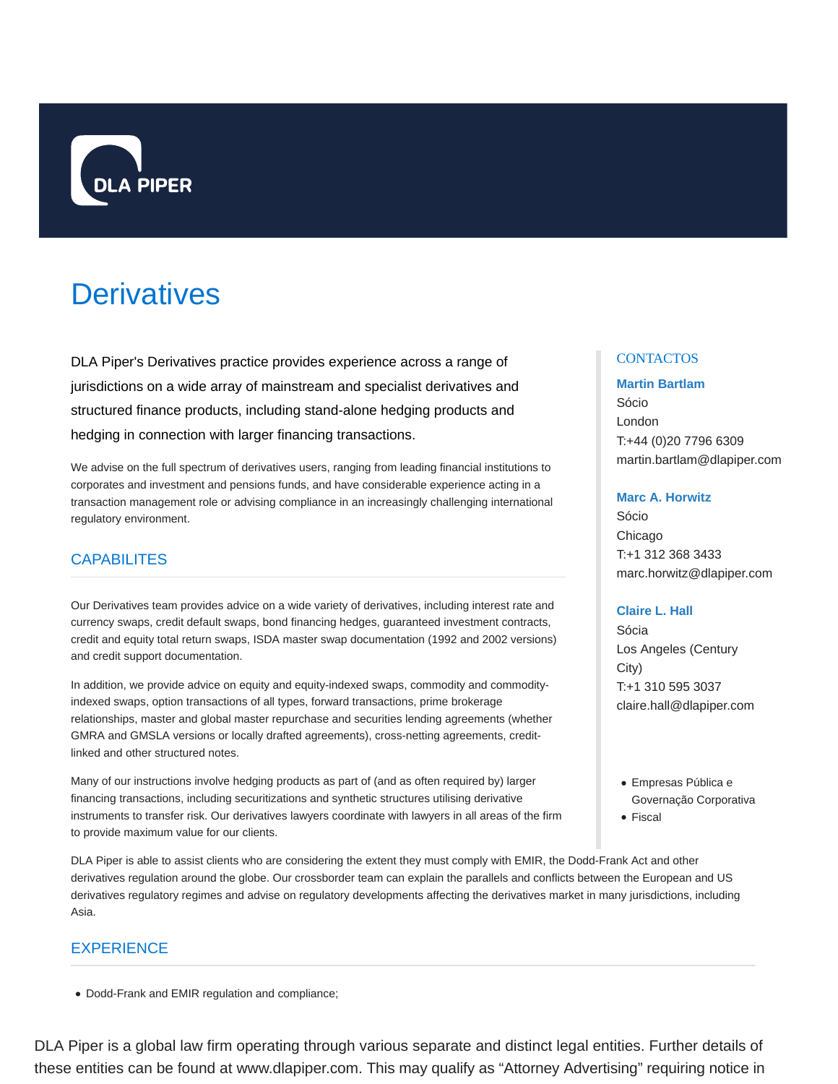

# **Derivatives**

DLA Piper's Derivatives practice provides experience across a range of jurisdictions on a wide array of mainstream and specialist derivatives and structured finance products, including stand-alone hedging products and hedging in connection with larger financing transactions.

We advise on the full spectrum of derivatives users, ranging from leading financial institutions to corporates and investment and pensions funds, and have considerable experience acting in a transaction management role or advising compliance in an increasingly challenging international regulatory environment.

# **CAPABILITES**

Our Derivatives team provides advice on a wide variety of derivatives, including interest rate and currency swaps, credit default swaps, bond financing hedges, guaranteed investment contracts, credit and equity total return swaps, ISDA master swap documentation (1992 and 2002 versions) and credit support documentation.

In addition, we provide advice on equity and equity-indexed swaps, commodity and commodityindexed swaps, option transactions of all types, forward transactions, prime brokerage relationships, master and global master repurchase and securities lending agreements (whether GMRA and GMSLA versions or locally drafted agreements), cross-netting agreements, creditlinked and other structured notes.

Many of our instructions involve hedging products as part of (and as often required by) larger financing transactions, including securitizations and synthetic structures utilising derivative instruments to transfer risk. Our derivatives lawyers coordinate with lawyers in all areas of the firm to provide maximum value for our clients.

DLA Piper is able to assist clients who are considering the extent they must comply with EMIR, the Dodd-Frank Act and other derivatives regulation around the globe. Our crossborder team can explain the parallels and conflicts between the European and US derivatives regulatory regimes and advise on regulatory developments affecting the derivatives market in many jurisdictions, including Asia.

# EXPERIENCE

Dodd-Frank and EMIR regulation and compliance;

# **CONTACTOS**

#### **Martin Bartlam**

Sócio London T:+44 (0)20 7796 6309 martin.bartlam@dlapiper.com

#### **Marc A. Horwitz**

Sócio Chicago T:+1 312 368 3433 marc.horwitz@dlapiper.com

#### **Claire L. Hall**

Sócia Los Angeles (Century City) T:+1 310 595 3037 claire.hall@dlapiper.com

- Empresas Pública e Governação Corporativa
- Fiscal

DLA Piper is a global law firm operating through various separate and distinct legal entities. Further details of these entities can be found at www.dlapiper.com. This may qualify as "Attorney Advertising" requiring notice in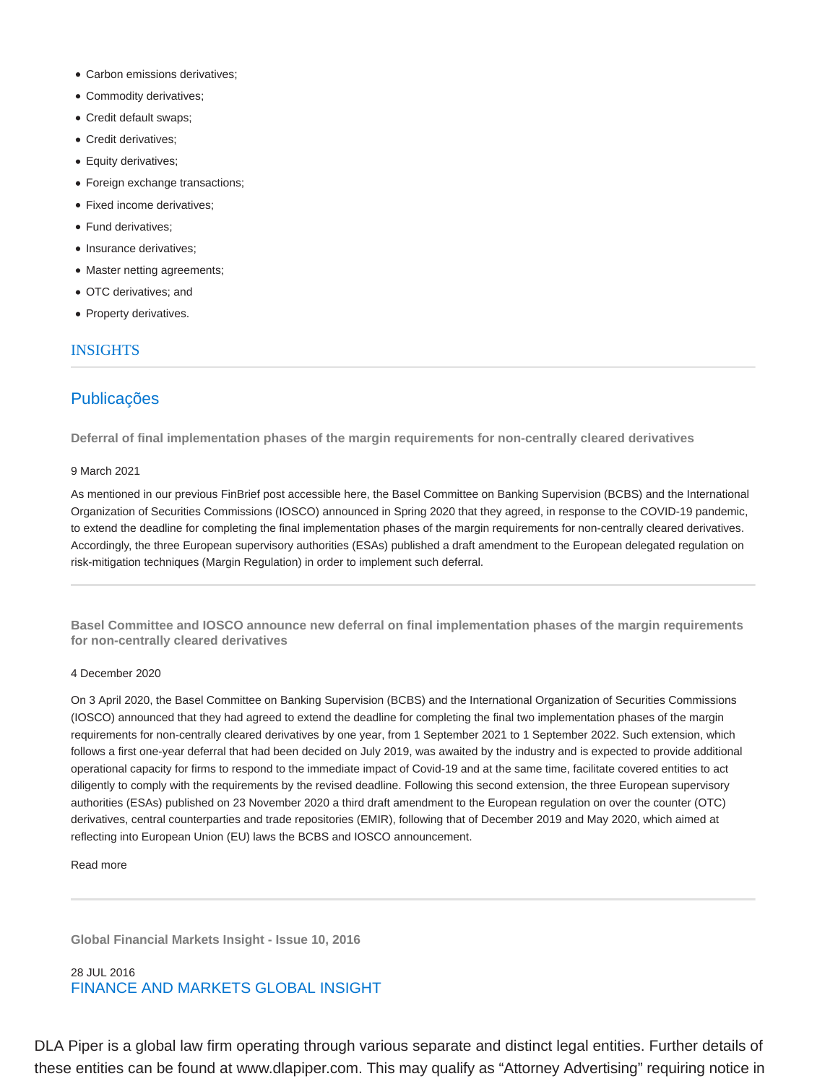- Carbon emissions derivatives;
- Commodity derivatives;
- Credit default swaps;
- Credit derivatives;
- Equity derivatives;
- Foreign exchange transactions;
- Fixed income derivatives;
- Fund derivatives;
- Insurance derivatives;
- Master netting agreements;
- OTC derivatives; and
- Property derivatives.

### INSIGHTS

# Publicações

**Deferral of final implementation phases of the margin requirements for non-centrally cleared derivatives**

#### 9 March 2021

As mentioned in our previous FinBrief post accessible here, the Basel Committee on Banking Supervision (BCBS) and the International Organization of Securities Commissions (IOSCO) announced in Spring 2020 that they agreed, in response to the COVID-19 pandemic, to extend the deadline for completing the final implementation phases of the margin requirements for non-centrally cleared derivatives. Accordingly, the three European supervisory authorities (ESAs) published a draft amendment to the European delegated regulation on risk-mitigation techniques (Margin Regulation) in order to implement such deferral.

**Basel Committee and IOSCO announce new deferral on final implementation phases of the margin requirements for non-centrally cleared derivatives**

#### 4 December 2020

On 3 April 2020, the Basel Committee on Banking Supervision (BCBS) and the International Organization of Securities Commissions (IOSCO) announced that they had agreed to extend the deadline for completing the final two implementation phases of the margin requirements for non-centrally cleared derivatives by one year, from 1 September 2021 to 1 September 2022. Such extension, which follows a first one-year deferral that had been decided on July 2019, was awaited by the industry and is expected to provide additional operational capacity for firms to respond to the immediate impact of Covid-19 and at the same time, facilitate covered entities to act diligently to comply with the requirements by the revised deadline. Following this second extension, the three European supervisory authorities (ESAs) published on 23 November 2020 a third draft amendment to the European regulation on over the counter (OTC) derivatives, central counterparties and trade repositories (EMIR), following that of December 2019 and May 2020, which aimed at reflecting into European Union (EU) laws the BCBS and IOSCO announcement.

Read more

**Global Financial Markets Insight - Issue 10, 2016**

### 28 JUL 2016 FINANCE AND MARKETS GLOBAL INSIGHT

DLA Piper is a global law firm operating through various separate and distinct legal entities. Further details of these entities can be found at www.dlapiper.com. This may qualify as "Attorney Advertising" requiring notice in